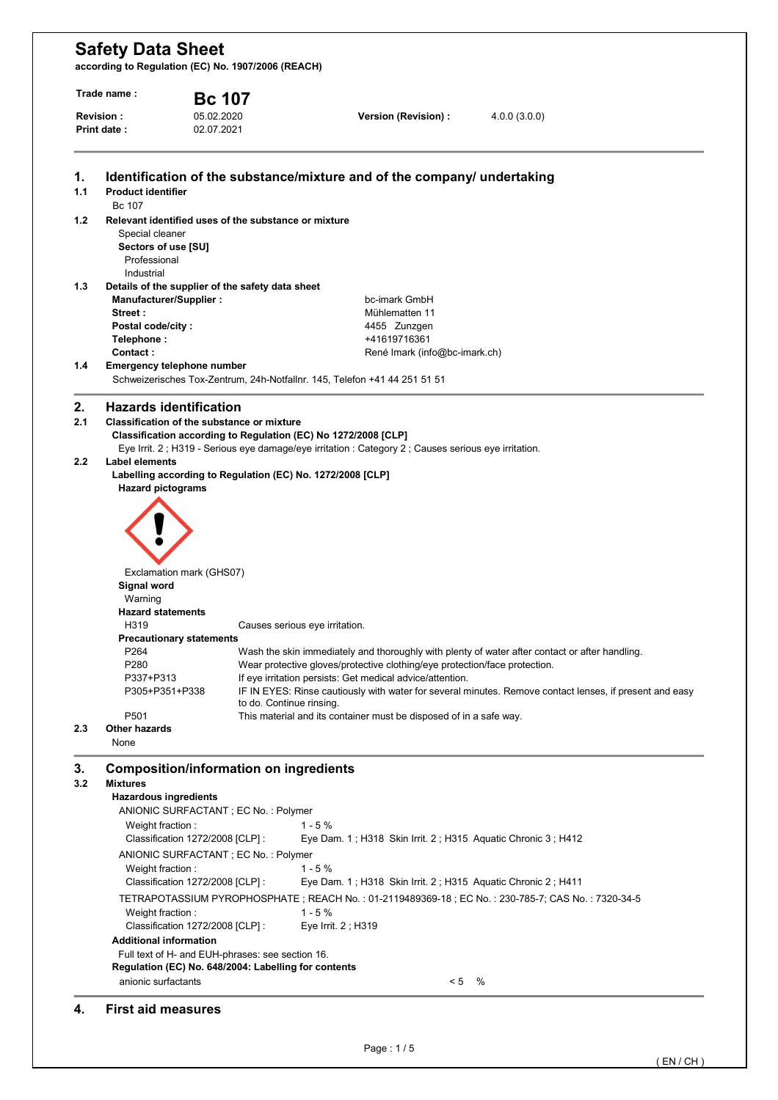**according to Regulation (EC) No. 1907/2006 (REACH)** 

|                          | Trade name:                                                                                                                                                                | <b>Bc 107</b>                                                                                                                                                                                                                                                                                   |                                                                                                                                                                                                                                                 |                                                                                                                                                                                                           |  |
|--------------------------|----------------------------------------------------------------------------------------------------------------------------------------------------------------------------|-------------------------------------------------------------------------------------------------------------------------------------------------------------------------------------------------------------------------------------------------------------------------------------------------|-------------------------------------------------------------------------------------------------------------------------------------------------------------------------------------------------------------------------------------------------|-----------------------------------------------------------------------------------------------------------------------------------------------------------------------------------------------------------|--|
| Revision:<br>Print date: |                                                                                                                                                                            | 05.02.2020<br>02.07.2021                                                                                                                                                                                                                                                                        | Version (Revision) :                                                                                                                                                                                                                            | 4.0.0(3.0.0)                                                                                                                                                                                              |  |
|                          |                                                                                                                                                                            |                                                                                                                                                                                                                                                                                                 |                                                                                                                                                                                                                                                 |                                                                                                                                                                                                           |  |
| 1.<br>1.1                | <b>Product identifier</b><br>Bc 107                                                                                                                                        |                                                                                                                                                                                                                                                                                                 | Identification of the substance/mixture and of the company/ undertaking                                                                                                                                                                         |                                                                                                                                                                                                           |  |
| 1.2                      | Special cleaner<br>Sectors of use [SU]<br>Professional<br>Industrial                                                                                                       | Relevant identified uses of the substance or mixture                                                                                                                                                                                                                                            |                                                                                                                                                                                                                                                 |                                                                                                                                                                                                           |  |
| 1.3                      | Manufacturer/Supplier:<br>Street:                                                                                                                                          | Details of the supplier of the safety data sheet                                                                                                                                                                                                                                                | bc-imark GmbH<br>Mühlematten 11                                                                                                                                                                                                                 |                                                                                                                                                                                                           |  |
|                          | Postal code/city:<br>Telephone:                                                                                                                                            |                                                                                                                                                                                                                                                                                                 | 4455 Zunzgen<br>+41619716361                                                                                                                                                                                                                    |                                                                                                                                                                                                           |  |
| 1.4                      | Contact:<br>Emergency telephone number                                                                                                                                     |                                                                                                                                                                                                                                                                                                 | René Imark (info@bc-imark.ch)<br>Schweizerisches Tox-Zentrum, 24h-Notfallnr. 145, Telefon +41 44 251 51 51                                                                                                                                      |                                                                                                                                                                                                           |  |
| 2.                       | <b>Hazards identification</b>                                                                                                                                              |                                                                                                                                                                                                                                                                                                 |                                                                                                                                                                                                                                                 |                                                                                                                                                                                                           |  |
| 2.1<br>2.2               | <b>Label elements</b>                                                                                                                                                      | Classification of the substance or mixture<br>Classification according to Regulation (EC) No 1272/2008 [CLP]                                                                                                                                                                                    | Eye Irrit. 2 ; H319 - Serious eye damage/eye irritation : Category 2 ; Causes serious eye irritation.                                                                                                                                           |                                                                                                                                                                                                           |  |
| 2.3                      | <b>Hazard pictograms</b><br>Signal word<br>Warning<br><b>Hazard statements</b><br>H319<br>P264<br>P280<br>P337+P313<br>P305+P351+P338<br>P <sub>501</sub><br>Other hazards | Labelling according to Regulation (EC) No. 1272/2008 [CLP]<br>Exclamation mark (GHS07)<br><b>Precautionary statements</b><br>to do. Continue rinsing.                                                                                                                                           | Causes serious eye irritation.<br>Wear protective gloves/protective clothing/eye protection/face protection.<br>If eye irritation persists: Get medical advice/attention.<br>This material and its container must be disposed of in a safe way. | Wash the skin immediately and thoroughly with plenty of water after contact or after handling.<br>IF IN EYES: Rinse cautiously with water for several minutes. Remove contact lenses, if present and easy |  |
|                          | None                                                                                                                                                                       |                                                                                                                                                                                                                                                                                                 |                                                                                                                                                                                                                                                 |                                                                                                                                                                                                           |  |
| 3.<br>3.2                | <b>Mixtures</b><br><b>Hazardous ingredients</b><br>Weight fraction:<br>Weight fraction:<br>Weight fraction:<br><b>Additional information</b>                               | <b>Composition/information on ingredients</b><br>ANIONIC SURFACTANT ; EC No. : Polymer<br>Classification 1272/2008 [CLP] :<br>ANIONIC SURFACTANT ; EC No. : Polymer<br>Classification 1272/2008 [CLP] :<br>Classification 1272/2008 [CLP] :<br>Full text of H- and EUH-phrases: see section 16. | $1 - 5%$<br>Eye Dam. 1; H318 Skin Irrit. 2; H315 Aquatic Chronic 3; H412<br>$1 - 5%$<br>Eye Dam. 1; H318 Skin Irrit. 2; H315 Aquatic Chronic 2; H411<br>$1 - 5%$<br>Eye Irrit. 2; H319                                                          | TETRAPOTASSIUM PYROPHOSPHATE ; REACH No. : 01-2119489369-18 ; EC No. : 230-785-7; CAS No. : 7320-34-5                                                                                                     |  |
|                          |                                                                                                                                                                            | Regulation (EC) No. 648/2004: Labelling for contents                                                                                                                                                                                                                                            |                                                                                                                                                                                                                                                 |                                                                                                                                                                                                           |  |

#### **4. First aid measures**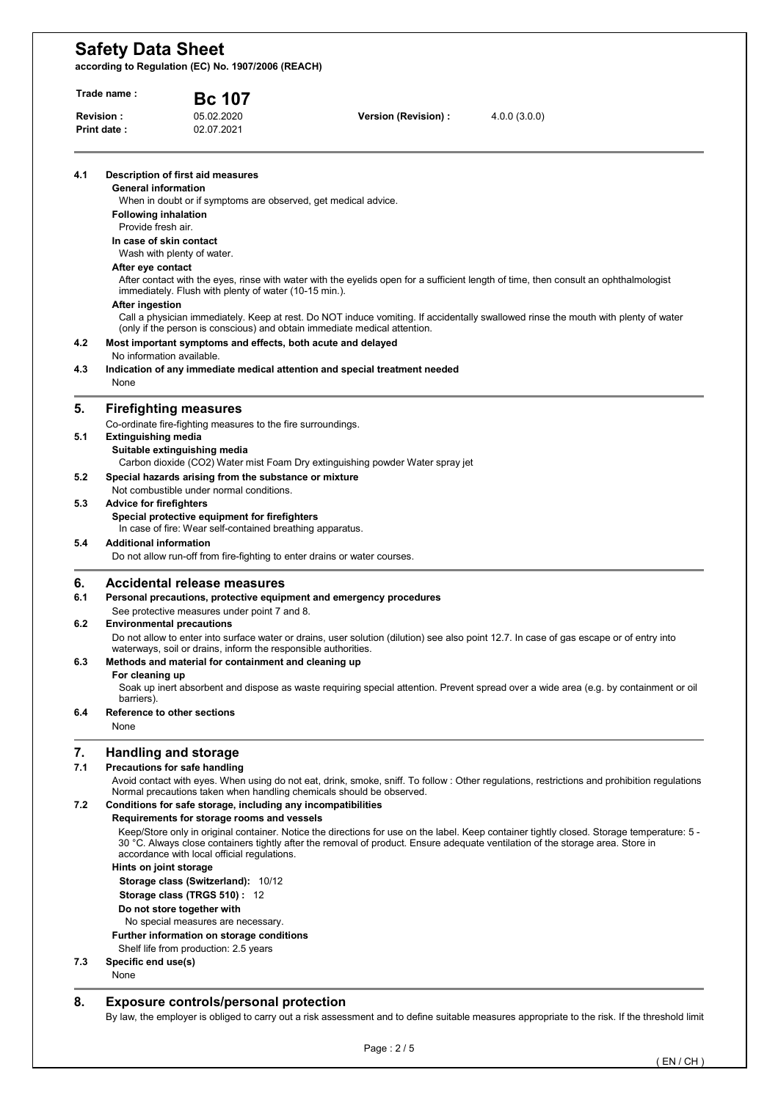**according to Regulation (EC) No. 1907/2006 (REACH)** 

| Trade name:<br>Revision:<br>Print date: |                                                                                                                                                                                                                                                                                                                                                       | <b>Bc 107</b>                                                                                                                                                                                                                                  |                                                                               |                                                                                                                                             |  |  |  |
|-----------------------------------------|-------------------------------------------------------------------------------------------------------------------------------------------------------------------------------------------------------------------------------------------------------------------------------------------------------------------------------------------------------|------------------------------------------------------------------------------------------------------------------------------------------------------------------------------------------------------------------------------------------------|-------------------------------------------------------------------------------|---------------------------------------------------------------------------------------------------------------------------------------------|--|--|--|
|                                         |                                                                                                                                                                                                                                                                                                                                                       | 05.02.2020<br>02.07.2021                                                                                                                                                                                                                       | Version (Revision) :                                                          | 4.0.0(3.0.0)                                                                                                                                |  |  |  |
| 4.1                                     | <b>General information</b><br><b>Following inhalation</b><br>Provide fresh air.                                                                                                                                                                                                                                                                       | Description of first aid measures<br>When in doubt or if symptoms are observed, get medical advice.                                                                                                                                            |                                                                               |                                                                                                                                             |  |  |  |
|                                         | In case of skin contact<br>After eye contact                                                                                                                                                                                                                                                                                                          | Wash with plenty of water.<br>immediately. Flush with plenty of water (10-15 min.).                                                                                                                                                            |                                                                               | After contact with the eyes, rinse with water with the eyelids open for a sufficient length of time, then consult an ophthalmologist        |  |  |  |
| 4.2                                     | <b>After ingestion</b>                                                                                                                                                                                                                                                                                                                                | (only if the person is conscious) and obtain immediate medical attention.<br>Most important symptoms and effects, both acute and delayed                                                                                                       |                                                                               | Call a physician immediately. Keep at rest. Do NOT induce vomiting. If accidentally swallowed rinse the mouth with plenty of water          |  |  |  |
| 4.3                                     | No information available.<br>Indication of any immediate medical attention and special treatment needed<br>None                                                                                                                                                                                                                                       |                                                                                                                                                                                                                                                |                                                                               |                                                                                                                                             |  |  |  |
| 5.                                      |                                                                                                                                                                                                                                                                                                                                                       | <b>Firefighting measures</b><br>Co-ordinate fire-fighting measures to the fire surroundings.                                                                                                                                                   |                                                                               |                                                                                                                                             |  |  |  |
| 5.1                                     | <b>Extinguishing media</b>                                                                                                                                                                                                                                                                                                                            | Suitable extinguishing media                                                                                                                                                                                                                   | Carbon dioxide (CO2) Water mist Foam Dry extinguishing powder Water spray jet |                                                                                                                                             |  |  |  |
| 5.2                                     |                                                                                                                                                                                                                                                                                                                                                       | Special hazards arising from the substance or mixture<br>Not combustible under normal conditions.                                                                                                                                              |                                                                               |                                                                                                                                             |  |  |  |
| 5.3                                     |                                                                                                                                                                                                                                                                                                                                                       | <b>Advice for firefighters</b><br>Special protective equipment for firefighters<br>In case of fire: Wear self-contained breathing apparatus.                                                                                                   |                                                                               |                                                                                                                                             |  |  |  |
| 5.4                                     | <b>Additional information</b>                                                                                                                                                                                                                                                                                                                         | Do not allow run-off from fire-fighting to enter drains or water courses.                                                                                                                                                                      |                                                                               |                                                                                                                                             |  |  |  |
| 6.                                      |                                                                                                                                                                                                                                                                                                                                                       | Accidental release measures                                                                                                                                                                                                                    |                                                                               |                                                                                                                                             |  |  |  |
| 6.1                                     |                                                                                                                                                                                                                                                                                                                                                       | Personal precautions, protective equipment and emergency procedures<br>See protective measures under point 7 and 8.                                                                                                                            |                                                                               |                                                                                                                                             |  |  |  |
| 6.2                                     |                                                                                                                                                                                                                                                                                                                                                       | <b>Environmental precautions</b><br>Do not allow to enter into surface water or drains, user solution (dilution) see also point 12.7. In case of gas escape or of entry into<br>waterways, soil or drains, inform the responsible authorities. |                                                                               |                                                                                                                                             |  |  |  |
| 6.3                                     | For cleaning up                                                                                                                                                                                                                                                                                                                                       | Methods and material for containment and cleaning up                                                                                                                                                                                           |                                                                               | Soak up inert absorbent and dispose as waste requiring special attention. Prevent spread over a wide area (e.g. by containment or oil       |  |  |  |
| 6.4                                     | barriers).<br>None                                                                                                                                                                                                                                                                                                                                    | Reference to other sections                                                                                                                                                                                                                    |                                                                               |                                                                                                                                             |  |  |  |
| 7.                                      |                                                                                                                                                                                                                                                                                                                                                       | <b>Handling and storage</b>                                                                                                                                                                                                                    |                                                                               |                                                                                                                                             |  |  |  |
| 7.1                                     |                                                                                                                                                                                                                                                                                                                                                       | Precautions for safe handling<br>Normal precautions taken when handling chemicals should be observed.                                                                                                                                          |                                                                               | Avoid contact with eyes. When using do not eat, drink, smoke, sniff. To follow: Other regulations, restrictions and prohibition regulations |  |  |  |
| 7.2                                     |                                                                                                                                                                                                                                                                                                                                                       | Conditions for safe storage, including any incompatibilities<br>Requirements for storage rooms and vessels                                                                                                                                     |                                                                               |                                                                                                                                             |  |  |  |
|                                         | Keep/Store only in original container. Notice the directions for use on the label. Keep container tightly closed. Storage temperature: 5 -<br>30 °C. Always close containers tightly after the removal of product. Ensure adequate ventilation of the storage area. Store in<br>accordance with local official regulations.<br>Hints on joint storage |                                                                                                                                                                                                                                                |                                                                               |                                                                                                                                             |  |  |  |
|                                         |                                                                                                                                                                                                                                                                                                                                                       | Storage class (Switzerland): 10/12<br>Storage class (TRGS 510): 12                                                                                                                                                                             |                                                                               |                                                                                                                                             |  |  |  |
|                                         |                                                                                                                                                                                                                                                                                                                                                       | Do not store together with<br>No special measures are necessary.                                                                                                                                                                               |                                                                               |                                                                                                                                             |  |  |  |
|                                         |                                                                                                                                                                                                                                                                                                                                                       | Further information on storage conditions<br>Shelf life from production: 2.5 years                                                                                                                                                             |                                                                               |                                                                                                                                             |  |  |  |
| 7.3                                     | Specific end use(s)                                                                                                                                                                                                                                                                                                                                   |                                                                                                                                                                                                                                                |                                                                               |                                                                                                                                             |  |  |  |

### None

### **8. Exposure controls/personal protection**

By law, the employer is obliged to carry out a risk assessment and to define suitable measures appropriate to the risk. If the threshold limit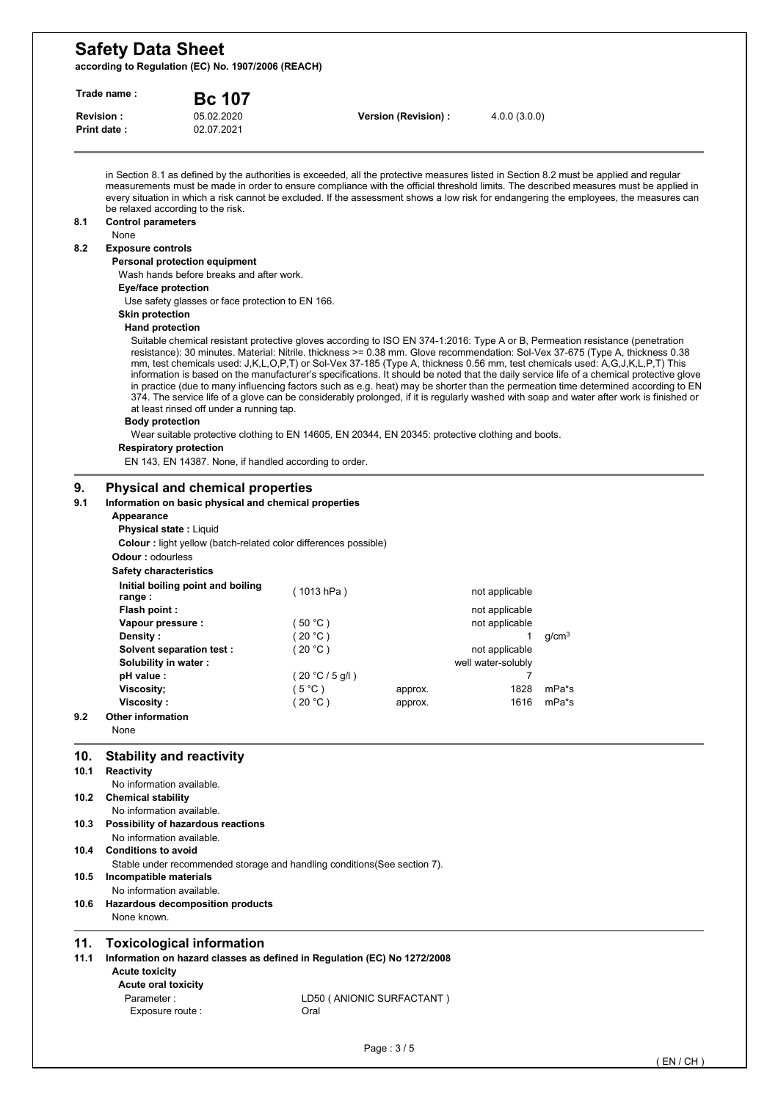**according to Regulation (EC) No. 1907/2006 (REACH)** 

| Trade name:<br><b>Bc 107</b> |                                                                                                                              |                                                                                                                                                                                                         |                                   |                      |                     |                                                                                                                                                                                                                                                                                                                                                                                                                                                                                                                                                                                                                                                                                                                                                                                                                              |  |  |
|------------------------------|------------------------------------------------------------------------------------------------------------------------------|---------------------------------------------------------------------------------------------------------------------------------------------------------------------------------------------------------|-----------------------------------|----------------------|---------------------|------------------------------------------------------------------------------------------------------------------------------------------------------------------------------------------------------------------------------------------------------------------------------------------------------------------------------------------------------------------------------------------------------------------------------------------------------------------------------------------------------------------------------------------------------------------------------------------------------------------------------------------------------------------------------------------------------------------------------------------------------------------------------------------------------------------------------|--|--|
|                              | <b>Revision:</b><br><b>Print date:</b>                                                                                       | 05.02.2020<br>02.07.2021                                                                                                                                                                                |                                   | Version (Revision) : | 4.0.0(3.0.0)        |                                                                                                                                                                                                                                                                                                                                                                                                                                                                                                                                                                                                                                                                                                                                                                                                                              |  |  |
| 8.1                          | be relaxed according to the risk.<br><b>Control parameters</b>                                                               |                                                                                                                                                                                                         |                                   |                      |                     | in Section 8.1 as defined by the authorities is exceeded, all the protective measures listed in Section 8.2 must be applied and regular<br>measurements must be made in order to ensure compliance with the official threshold limits. The described measures must be applied in<br>every situation in which a risk cannot be excluded. If the assessment shows a low risk for endangering the employees, the measures can                                                                                                                                                                                                                                                                                                                                                                                                   |  |  |
|                              | None                                                                                                                         |                                                                                                                                                                                                         |                                   |                      |                     |                                                                                                                                                                                                                                                                                                                                                                                                                                                                                                                                                                                                                                                                                                                                                                                                                              |  |  |
| 8.2                          | <b>Exposure controls</b><br>Personal protection equipment<br>Wash hands before breaks and after work.<br>Eye/face protection |                                                                                                                                                                                                         |                                   |                      |                     |                                                                                                                                                                                                                                                                                                                                                                                                                                                                                                                                                                                                                                                                                                                                                                                                                              |  |  |
|                              | Use safety glasses or face protection to EN 166.                                                                             |                                                                                                                                                                                                         |                                   |                      |                     |                                                                                                                                                                                                                                                                                                                                                                                                                                                                                                                                                                                                                                                                                                                                                                                                                              |  |  |
|                              | <b>Skin protection</b><br><b>Hand protection</b>                                                                             |                                                                                                                                                                                                         |                                   |                      |                     |                                                                                                                                                                                                                                                                                                                                                                                                                                                                                                                                                                                                                                                                                                                                                                                                                              |  |  |
|                              | <b>Body protection</b><br><b>Respiratory protection</b>                                                                      | at least rinsed off under a running tap.<br>Wear suitable protective clothing to EN 14605, EN 20344, EN 20345: protective clothing and boots.<br>EN 143, EN 14387. None, if handled according to order. |                                   |                      |                     | Suitable chemical resistant protective gloves according to ISO EN 374-1:2016: Type A or B, Permeation resistance (penetration<br>resistance): 30 minutes. Material: Nitrile. thickness >= 0.38 mm. Glove recommendation: Sol-Vex 37-675 (Type A, thickness 0.38<br>mm, test chemicals used: J,K,L,O,P,T) or Sol-Vex 37-185 (Type A, thickness 0.56 mm, test chemicals used: A,G,J,K,L,P,T) This<br>information is based on the manufacturer's specifications. It should be noted that the daily service life of a chemical protective glove<br>in practice (due to many influencing factors such as e.g. heat) may be shorter than the permeation time determined according to EN<br>374. The service life of a glove can be considerably prolonged, if it is regularly washed with soap and water after work is finished or |  |  |
| 9.<br>9.1                    | Appearance<br><b>Physical state: Liquid</b><br><b>Odour: odourless</b>                                                       | <b>Physical and chemical properties</b><br>Information on basic physical and chemical properties<br>Colour : light yellow (batch-related color differences possible)                                    |                                   |                      |                     |                                                                                                                                                                                                                                                                                                                                                                                                                                                                                                                                                                                                                                                                                                                                                                                                                              |  |  |
|                              | <b>Safety characteristics</b>                                                                                                |                                                                                                                                                                                                         |                                   |                      |                     |                                                                                                                                                                                                                                                                                                                                                                                                                                                                                                                                                                                                                                                                                                                                                                                                                              |  |  |
|                              | range :                                                                                                                      | Initial boiling point and boiling                                                                                                                                                                       | (1013 hPa)                        |                      | not applicable      |                                                                                                                                                                                                                                                                                                                                                                                                                                                                                                                                                                                                                                                                                                                                                                                                                              |  |  |
|                              | Flash point:                                                                                                                 |                                                                                                                                                                                                         |                                   |                      | not applicable      |                                                                                                                                                                                                                                                                                                                                                                                                                                                                                                                                                                                                                                                                                                                                                                                                                              |  |  |
|                              | Vapour pressure :                                                                                                            |                                                                                                                                                                                                         | (50 °C)<br>(20 °C)                |                      | not applicable<br>1 | q/cm <sup>3</sup>                                                                                                                                                                                                                                                                                                                                                                                                                                                                                                                                                                                                                                                                                                                                                                                                            |  |  |
|                              | Density :<br>Solvent separation test :                                                                                       |                                                                                                                                                                                                         | (20 °C)                           |                      | not applicable      |                                                                                                                                                                                                                                                                                                                                                                                                                                                                                                                                                                                                                                                                                                                                                                                                                              |  |  |
|                              | Solubility in water:                                                                                                         |                                                                                                                                                                                                         |                                   |                      | well water-solubly  |                                                                                                                                                                                                                                                                                                                                                                                                                                                                                                                                                                                                                                                                                                                                                                                                                              |  |  |
|                              | pH value :                                                                                                                   |                                                                                                                                                                                                         | (20 °C / 5 g/l)                   |                      |                     |                                                                                                                                                                                                                                                                                                                                                                                                                                                                                                                                                                                                                                                                                                                                                                                                                              |  |  |
|                              | Viscosity;<br>Viscosity:                                                                                                     |                                                                                                                                                                                                         | (5 °C )<br>(20 °C)                | approx.<br>approx.   | 1828<br>1616        | mPa*s<br>mPa*s                                                                                                                                                                                                                                                                                                                                                                                                                                                                                                                                                                                                                                                                                                                                                                                                               |  |  |
| 9.2                          | <b>Other information</b>                                                                                                     |                                                                                                                                                                                                         |                                   |                      |                     |                                                                                                                                                                                                                                                                                                                                                                                                                                                                                                                                                                                                                                                                                                                                                                                                                              |  |  |
|                              | None                                                                                                                         |                                                                                                                                                                                                         |                                   |                      |                     |                                                                                                                                                                                                                                                                                                                                                                                                                                                                                                                                                                                                                                                                                                                                                                                                                              |  |  |
| 10.<br>10.1                  | <b>Stability and reactivity</b><br>Reactivity                                                                                |                                                                                                                                                                                                         |                                   |                      |                     |                                                                                                                                                                                                                                                                                                                                                                                                                                                                                                                                                                                                                                                                                                                                                                                                                              |  |  |
| 10.2                         | No information available.<br><b>Chemical stability</b><br>No information available.                                          |                                                                                                                                                                                                         |                                   |                      |                     |                                                                                                                                                                                                                                                                                                                                                                                                                                                                                                                                                                                                                                                                                                                                                                                                                              |  |  |
| 10.3                         | No information available.                                                                                                    | Possibility of hazardous reactions                                                                                                                                                                      |                                   |                      |                     |                                                                                                                                                                                                                                                                                                                                                                                                                                                                                                                                                                                                                                                                                                                                                                                                                              |  |  |
| 10.4                         | <b>Conditions to avoid</b>                                                                                                   |                                                                                                                                                                                                         |                                   |                      |                     |                                                                                                                                                                                                                                                                                                                                                                                                                                                                                                                                                                                                                                                                                                                                                                                                                              |  |  |
| 10.5                         | Incompatible materials<br>No information available.                                                                          | Stable under recommended storage and handling conditions (See section 7).                                                                                                                               |                                   |                      |                     |                                                                                                                                                                                                                                                                                                                                                                                                                                                                                                                                                                                                                                                                                                                                                                                                                              |  |  |
| 10.6                         | None known.                                                                                                                  | Hazardous decomposition products                                                                                                                                                                        |                                   |                      |                     |                                                                                                                                                                                                                                                                                                                                                                                                                                                                                                                                                                                                                                                                                                                                                                                                                              |  |  |
| 11.<br>11.1                  | <b>Acute toxicity</b><br>Acute oral toxicity<br>Parameter:<br>Exposure route :                                               | <b>Toxicological information</b><br>Information on hazard classes as defined in Regulation (EC) No 1272/2008                                                                                            | LD50 (ANIONIC SURFACTANT)<br>Oral |                      |                     |                                                                                                                                                                                                                                                                                                                                                                                                                                                                                                                                                                                                                                                                                                                                                                                                                              |  |  |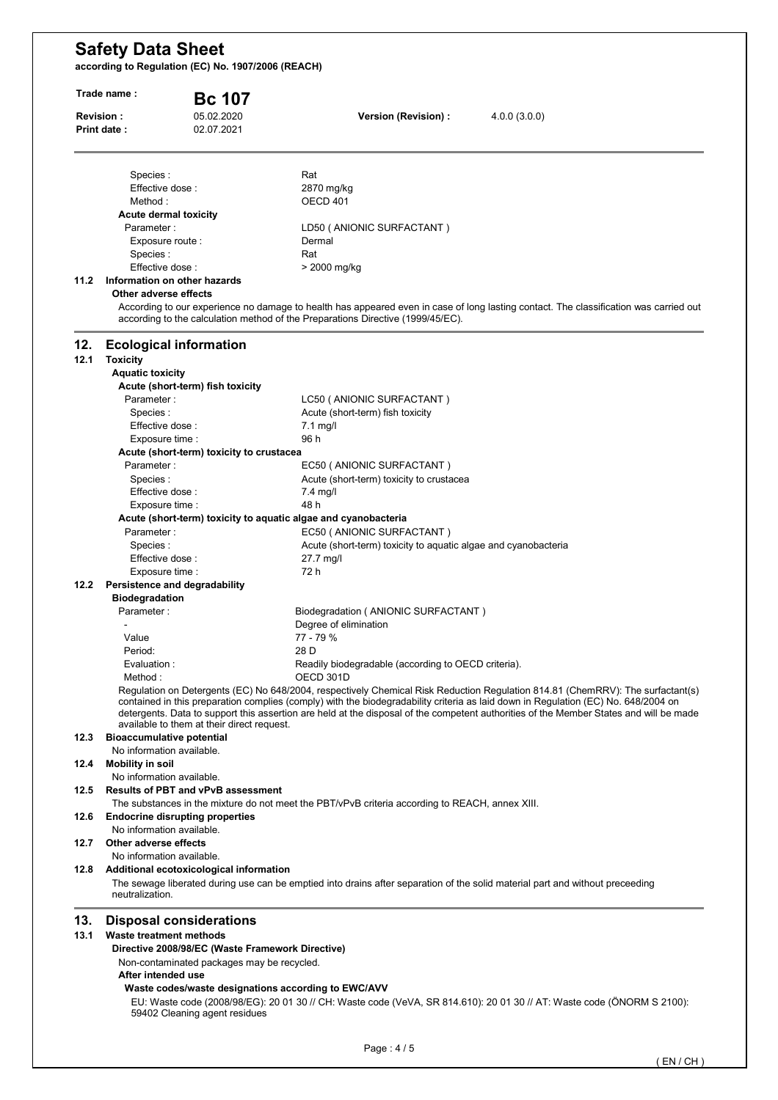**according to Regulation (EC) No. 1907/2006 (REACH)** 

| Trade name: |                                                                                                                                                                          | <b>Bc 107</b>            |                                                                                                 |                                                                                                                                                                                                                                                                                                                                                                                                                |  |  |
|-------------|--------------------------------------------------------------------------------------------------------------------------------------------------------------------------|--------------------------|-------------------------------------------------------------------------------------------------|----------------------------------------------------------------------------------------------------------------------------------------------------------------------------------------------------------------------------------------------------------------------------------------------------------------------------------------------------------------------------------------------------------------|--|--|
|             | <b>Revision:</b><br>Print date:                                                                                                                                          | 05.02.2020<br>02.07.2021 | Version (Revision) :                                                                            | 4.0.0(3.0.0)                                                                                                                                                                                                                                                                                                                                                                                                   |  |  |
|             | Species:                                                                                                                                                                 |                          | Rat                                                                                             |                                                                                                                                                                                                                                                                                                                                                                                                                |  |  |
|             | Effective dose:                                                                                                                                                          |                          | 2870 mg/kg                                                                                      |                                                                                                                                                                                                                                                                                                                                                                                                                |  |  |
|             | Method :                                                                                                                                                                 |                          | OECD 401                                                                                        |                                                                                                                                                                                                                                                                                                                                                                                                                |  |  |
|             | Acute dermal toxicity                                                                                                                                                    |                          |                                                                                                 |                                                                                                                                                                                                                                                                                                                                                                                                                |  |  |
|             | Parameter:                                                                                                                                                               |                          | LD50 (ANIONIC SURFACTANT)                                                                       |                                                                                                                                                                                                                                                                                                                                                                                                                |  |  |
|             | Exposure route :                                                                                                                                                         |                          | Dermal                                                                                          |                                                                                                                                                                                                                                                                                                                                                                                                                |  |  |
|             | Species:                                                                                                                                                                 |                          | Rat                                                                                             |                                                                                                                                                                                                                                                                                                                                                                                                                |  |  |
| 11.2        | Effective dose:<br>Information on other hazards                                                                                                                          |                          | > 2000 mg/kg                                                                                    |                                                                                                                                                                                                                                                                                                                                                                                                                |  |  |
|             | Other adverse effects                                                                                                                                                    |                          |                                                                                                 |                                                                                                                                                                                                                                                                                                                                                                                                                |  |  |
|             |                                                                                                                                                                          |                          | according to the calculation method of the Preparations Directive (1999/45/EC).                 | According to our experience no damage to health has appeared even in case of long lasting contact. The classification was carried out                                                                                                                                                                                                                                                                          |  |  |
| 12.         | <b>Ecological information</b>                                                                                                                                            |                          |                                                                                                 |                                                                                                                                                                                                                                                                                                                                                                                                                |  |  |
| 12.1        | <b>Toxicity</b>                                                                                                                                                          |                          |                                                                                                 |                                                                                                                                                                                                                                                                                                                                                                                                                |  |  |
|             | <b>Aquatic toxicity</b>                                                                                                                                                  |                          |                                                                                                 |                                                                                                                                                                                                                                                                                                                                                                                                                |  |  |
|             | Acute (short-term) fish toxicity<br>Parameter:                                                                                                                           |                          | LC50 (ANIONIC SURFACTANT)                                                                       |                                                                                                                                                                                                                                                                                                                                                                                                                |  |  |
|             | Species:                                                                                                                                                                 |                          | Acute (short-term) fish toxicity                                                                |                                                                                                                                                                                                                                                                                                                                                                                                                |  |  |
|             | Effective dose :                                                                                                                                                         |                          | $7.1$ mg/l                                                                                      |                                                                                                                                                                                                                                                                                                                                                                                                                |  |  |
|             | Exposure time :                                                                                                                                                          |                          | 96 h                                                                                            |                                                                                                                                                                                                                                                                                                                                                                                                                |  |  |
|             | Acute (short-term) toxicity to crustacea                                                                                                                                 |                          |                                                                                                 |                                                                                                                                                                                                                                                                                                                                                                                                                |  |  |
|             | Parameter:                                                                                                                                                               |                          | EC50 (ANIONIC SURFACTANT)                                                                       |                                                                                                                                                                                                                                                                                                                                                                                                                |  |  |
|             | Species :                                                                                                                                                                |                          | Acute (short-term) toxicity to crustacea                                                        |                                                                                                                                                                                                                                                                                                                                                                                                                |  |  |
|             | Effective dose:                                                                                                                                                          |                          | $7.4$ mg/l                                                                                      |                                                                                                                                                                                                                                                                                                                                                                                                                |  |  |
|             | Exposure time :                                                                                                                                                          |                          | 48 h                                                                                            |                                                                                                                                                                                                                                                                                                                                                                                                                |  |  |
|             |                                                                                                                                                                          |                          | Acute (short-term) toxicity to aquatic algae and cyanobacteria                                  |                                                                                                                                                                                                                                                                                                                                                                                                                |  |  |
|             | Parameter:                                                                                                                                                               |                          | EC50 (ANIONIC SURFACTANT)                                                                       |                                                                                                                                                                                                                                                                                                                                                                                                                |  |  |
|             | Species:                                                                                                                                                                 |                          | Acute (short-term) toxicity to aquatic algae and cyanobacteria                                  |                                                                                                                                                                                                                                                                                                                                                                                                                |  |  |
|             | Effective dose:                                                                                                                                                          |                          | 27.7 mg/l                                                                                       |                                                                                                                                                                                                                                                                                                                                                                                                                |  |  |
|             | Exposure time :                                                                                                                                                          |                          | 72 h                                                                                            |                                                                                                                                                                                                                                                                                                                                                                                                                |  |  |
| 12.2        | Persistence and degradability                                                                                                                                            |                          |                                                                                                 |                                                                                                                                                                                                                                                                                                                                                                                                                |  |  |
|             | <b>Biodegradation</b><br>Parameter:                                                                                                                                      |                          | Biodegradation ( ANIONIC SURFACTANT )                                                           |                                                                                                                                                                                                                                                                                                                                                                                                                |  |  |
|             |                                                                                                                                                                          |                          | Degree of elimination                                                                           |                                                                                                                                                                                                                                                                                                                                                                                                                |  |  |
|             | Value                                                                                                                                                                    |                          | 77 - 79 %                                                                                       |                                                                                                                                                                                                                                                                                                                                                                                                                |  |  |
|             | Period:                                                                                                                                                                  |                          | 28 D                                                                                            |                                                                                                                                                                                                                                                                                                                                                                                                                |  |  |
|             | Evaluation :                                                                                                                                                             |                          | Readily biodegradable (according to OECD criteria).                                             |                                                                                                                                                                                                                                                                                                                                                                                                                |  |  |
|             | Method:                                                                                                                                                                  |                          | OECD 301D                                                                                       |                                                                                                                                                                                                                                                                                                                                                                                                                |  |  |
|             | available to them at their direct request.                                                                                                                               |                          |                                                                                                 | Regulation on Detergents (EC) No 648/2004, respectively Chemical Risk Reduction Regulation 814.81 (ChemRRV): The surfactant(s)<br>contained in this preparation complies (comply) with the biodegradability criteria as laid down in Regulation (EC) No. 648/2004 on<br>detergents. Data to support this assertion are held at the disposal of the competent authorities of the Member States and will be made |  |  |
| 12.3        | <b>Bioaccumulative potential</b>                                                                                                                                         |                          |                                                                                                 |                                                                                                                                                                                                                                                                                                                                                                                                                |  |  |
|             | No information available.                                                                                                                                                |                          |                                                                                                 |                                                                                                                                                                                                                                                                                                                                                                                                                |  |  |
| 12.4        | <b>Mobility in soil</b>                                                                                                                                                  |                          |                                                                                                 |                                                                                                                                                                                                                                                                                                                                                                                                                |  |  |
|             | No information available.                                                                                                                                                |                          |                                                                                                 |                                                                                                                                                                                                                                                                                                                                                                                                                |  |  |
| 12.5        | <b>Results of PBT and vPvB assessment</b>                                                                                                                                |                          |                                                                                                 |                                                                                                                                                                                                                                                                                                                                                                                                                |  |  |
|             |                                                                                                                                                                          |                          | The substances in the mixture do not meet the PBT/vPvB criteria according to REACH, annex XIII. |                                                                                                                                                                                                                                                                                                                                                                                                                |  |  |
| 12.6        | <b>Endocrine disrupting properties</b>                                                                                                                                   |                          |                                                                                                 |                                                                                                                                                                                                                                                                                                                                                                                                                |  |  |
|             | No information available.                                                                                                                                                |                          |                                                                                                 |                                                                                                                                                                                                                                                                                                                                                                                                                |  |  |
| 12.7        | Other adverse effects                                                                                                                                                    |                          |                                                                                                 |                                                                                                                                                                                                                                                                                                                                                                                                                |  |  |
|             | No information available.                                                                                                                                                |                          |                                                                                                 |                                                                                                                                                                                                                                                                                                                                                                                                                |  |  |
| 12.8        | Additional ecotoxicological information<br>The sewage liberated during use can be emptied into drains after separation of the solid material part and without preceeding |                          |                                                                                                 |                                                                                                                                                                                                                                                                                                                                                                                                                |  |  |
|             | neutralization.                                                                                                                                                          |                          |                                                                                                 |                                                                                                                                                                                                                                                                                                                                                                                                                |  |  |
|             |                                                                                                                                                                          |                          |                                                                                                 |                                                                                                                                                                                                                                                                                                                                                                                                                |  |  |
| 13.         | <b>Disposal considerations</b>                                                                                                                                           |                          |                                                                                                 |                                                                                                                                                                                                                                                                                                                                                                                                                |  |  |
| 13.1        | <b>Waste treatment methods</b>                                                                                                                                           |                          |                                                                                                 |                                                                                                                                                                                                                                                                                                                                                                                                                |  |  |
|             | Directive 2008/98/EC (Waste Framework Directive)                                                                                                                         |                          |                                                                                                 |                                                                                                                                                                                                                                                                                                                                                                                                                |  |  |
|             | Non-contaminated packages may be recycled.                                                                                                                               |                          |                                                                                                 |                                                                                                                                                                                                                                                                                                                                                                                                                |  |  |
|             | After intended use                                                                                                                                                       |                          |                                                                                                 |                                                                                                                                                                                                                                                                                                                                                                                                                |  |  |
|             |                                                                                                                                                                          |                          | Waste codes/waste designations according to EWC/AVV                                             |                                                                                                                                                                                                                                                                                                                                                                                                                |  |  |
|             |                                                                                                                                                                          |                          |                                                                                                 | EU: Waste code (2008/98/EG): 20 01 30 // CH: Waste code (VeVA, SR 814.610): 20 01 30 // AT: Waste code (ONORM S 2100):                                                                                                                                                                                                                                                                                         |  |  |
|             | 59402 Cleaning agent residues                                                                                                                                            |                          |                                                                                                 |                                                                                                                                                                                                                                                                                                                                                                                                                |  |  |
|             |                                                                                                                                                                          |                          |                                                                                                 |                                                                                                                                                                                                                                                                                                                                                                                                                |  |  |